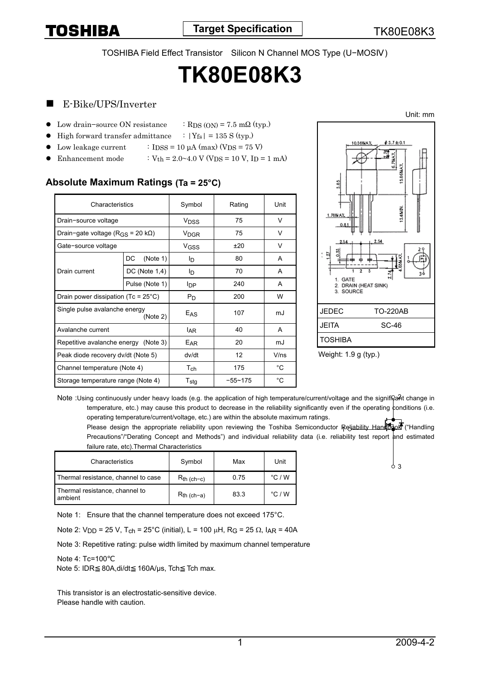TOSHIBA Field Effect Transistor Silicon N Channel MOS Type (U−MOS )

# **TK80E08K3**

## E-Bike/UPS/Inverter

- Low drain−source ON resistance  $\therefore$  RDS (ON) = 7.5 mΩ (typ.)
- High forward transfer admittance  $\therefore$  |Y<sub>fs</sub>| = 135 S (typ.)
	- Low leakage current  $\qquad$  : IDSS = 10 µA (max) (VDS = 75 V)
- Enhancement mode :  $V_{th} = 2.0 \times 4.0 \text{ V (VDS} = 10 \text{ V, ID} = 1 \text{ mA})$

## **Absolute Maximum Ratings (Ta = 25°C)**

| Characteristics                                 |                    | Symbol                 | Rating      | Unit        |
|-------------------------------------------------|--------------------|------------------------|-------------|-------------|
| Drain-source voltage                            |                    | <b>V<sub>DSS</sub></b> | 75          | V           |
| Drain-gate voltage ( $R_{GS}$ = 20 k $\Omega$ ) |                    | <b>V<sub>DGR</sub></b> | 75          | V           |
| Gate-source voltage                             |                    | V <sub>GSS</sub>       | ±20         | V           |
| Drain current                                   | (Note 1)<br>DC     | Iр                     | 80          | A           |
|                                                 | $DC$ (Note $1,4$ ) | lņ.                    | 70          | A           |
|                                                 | Pulse (Note 1)     | <b>I</b> DP            | 240         | A           |
| Drain power dissipation (Tc = $25^{\circ}$ C)   |                    | Pn                     | 200         | W           |
| Single pulse avalanche energy<br>(Note 2)       |                    | E <sub>AS</sub>        | 107         | mJ          |
| Avalanche current                               |                    | <sup>I</sup> AR        | 40          | A           |
| Repetitive avalanche energy (Note 3)            |                    | E <sub>AR</sub>        | 20          | mJ          |
| Peak diode recovery dv/dt (Note 5)              |                    | dv/dt                  | 12          | V/ns        |
| Channel temperature (Note 4)                    |                    | $T_{\mathsf{ch}}$      | 175         | °C          |
| Storage temperature range (Note 4)              |                    | $T_{\sf stg}$          | $-55 - 175$ | $^{\circ}C$ |



Weight: 1.9 g (typ.)

Note :Using continuously under heavy loads (e.g. the application of high temperature/current/voltage and the significant change in temperature, etc.) may cause this product to decrease in the reliability significantly even if the operating conditions (i.e. operating temperature/current/voltage, etc.) are within the absolute maximum ratings.

Please design the appropriate reliability upon reviewing the Toshiba Semiconductor Reliability Handbook ("Handling Precautions"/"Derating Concept and Methods") and individual reliability data (i.e. reliability test report and estimated failure rate, etc).Thermal Characteristics

| Characteristics                           | Symbol           | Max  | Unit            |
|-------------------------------------------|------------------|------|-----------------|
| Thermal resistance, channel to case       | $R_{th\ (ch-c)}$ | 0.75 | $\degree$ C / W |
| Thermal resistance, channel to<br>ambient | $R_{th}$ (ch-a)  | 83.3 | $\degree$ C / W |

Note 1: Ensure that the channel temperature does not exceed 175°C.

Note 2: V<sub>DD</sub> = 25 V, T<sub>ch</sub> = 25°C (initial), L = 100 μH, R<sub>G</sub> = 25 Ω, I<sub>AR</sub> = 40A

Note 3: Repetitive rating: pulse width limited by maximum channel temperature

#### Note 4: Tc=100

Note 5: IDR 80A, di/dt 160A/us, Tch Tch max.

This transistor is an electrostatic-sensitive device. Please handle with caution.

 $\frac{1}{2}$ 3

Unit: mm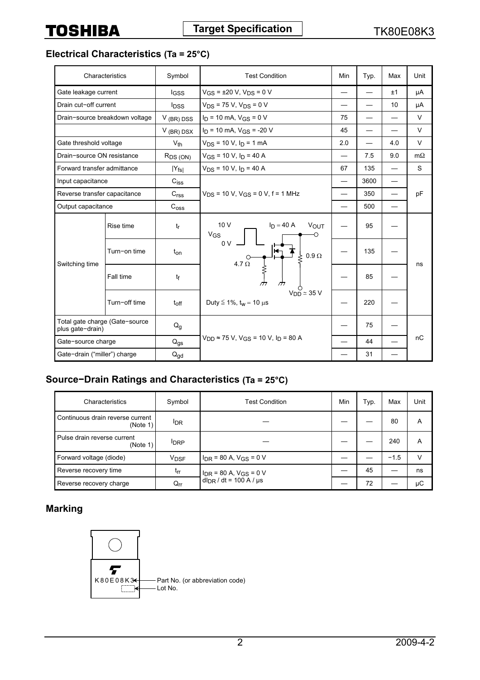**Electrical Characteristics (Ta = 25°C)**

|                                                    | Characteristics                | Symbol                    | <b>Test Condition</b>                                                                                 | Min | Typ.                     | Max | Unit      |
|----------------------------------------------------|--------------------------------|---------------------------|-------------------------------------------------------------------------------------------------------|-----|--------------------------|-----|-----------|
| Gate leakage current                               |                                | lgss                      | $V_{GS}$ = ±20 V, $V_{DS}$ = 0 V                                                                      |     |                          | ±1  | μA        |
| Drain cut-off current                              |                                | <b>l</b> <sub>DSS</sub>   | $V_{DS}$ = 75 V, $V_{DS}$ = 0 V                                                                       |     |                          | 10  | μA        |
|                                                    | Drain-source breakdown voltage | $V$ (BR) DSS              | $I_D$ = 10 mA, $V_{GS}$ = 0 V                                                                         | 75  |                          |     | $\vee$    |
|                                                    |                                | $V$ (BR) DSX              | $I_D$ = 10 mA, $V_{GS}$ = -20 V                                                                       | 45  | $\overline{\phantom{0}}$ |     | V         |
| Gate threshold voltage                             |                                | $V_{th}$                  | $V_{DS}$ = 10 V, $I_D$ = 1 mA                                                                         | 2.0 |                          | 4.0 | V         |
| Drain-source ON resistance                         |                                | R <sub>DS</sub> (ON)      | $V_{GS}$ = 10 V, $I_D$ = 40 A                                                                         |     | 7.5                      | 9.0 | $m\Omega$ |
| Forward transfer admittance                        |                                | $ Y_{fs} $                | $V_{DS}$ = 10 V, $I_D$ = 40 A                                                                         | 67  | 135                      |     | S         |
| Input capacitance                                  |                                | C <sub>iss</sub>          |                                                                                                       |     | 3600                     |     |           |
| Reverse transfer capacitance                       |                                | C <sub>rss</sub>          | $V_{DS}$ = 10 V, $V_{GS}$ = 0 V, f = 1 MHz                                                            |     | 350                      |     | pF        |
| Output capacitance                                 |                                | C <sub>oss</sub>          |                                                                                                       |     | 500                      |     |           |
| Switching time                                     | Rise time                      | $t_{\sf r}$               | 10V<br>$I_D = 40 A$<br><b>VOUT</b><br>$V_{GS}$<br>0 <sup>0</sup><br>$0.9 \Omega$<br>ξ<br>4.7 $\Omega$ |     | 95                       |     |           |
|                                                    | Turn-on time                   | t <sub>on</sub>           |                                                                                                       |     | 135                      |     | ns        |
|                                                    | Fall time                      | tf                        |                                                                                                       |     | 85                       |     |           |
|                                                    | Turn-off time                  | $t_{off}$                 | $V_{DD} \simeq 35$ V<br>Duty $\leq 1\%$ , t <sub>w</sub> = 10 $\mu$ s                                 |     | 220                      |     |           |
| Total gate charge (Gate-source<br>plus gate-drain) |                                | $\mathsf{Q}_{\mathsf{g}}$ | $V_{DD}$ ≈ 75 V, V <sub>GS</sub> = 10 V, I <sub>D</sub> = 80 A                                        |     | 75                       |     |           |
| Gate-source charge                                 |                                | $Q_{gs}$                  |                                                                                                       |     | 44                       |     | пC        |
| Gate-drain ("miller") charge                       |                                | $Q_{\text{gd}}$           |                                                                                                       |     | 31                       |     |           |

## **Source−Drain Ratings and Characteristics (Ta = 25°C)**

| Characteristics                              | Symbol                 | <b>Test Condition</b>           | Min | Typ. | Max    | Unit |
|----------------------------------------------|------------------------|---------------------------------|-----|------|--------|------|
| Continuous drain reverse current<br>(Note 1) | <sup>I</sup> DR        |                                 |     |      | 80     | A    |
| Pulse drain reverse current<br>(Note 1)      | <b>IDRP</b>            |                                 |     |      | 240    | A    |
| Forward voltage (diode)                      | <b>V<sub>DSF</sub></b> | $I_{DR}$ = 80 A, $V_{GS}$ = 0 V |     |      | $-1.5$ | V    |
| Reverse recovery time                        | $t_{rr}$               | $I_{DR}$ = 80 A, $V_{GS}$ = 0 V |     | 45   |        | ns   |
| Reverse recovery charge                      | $Q_{\text{rr}}$        | $d_{DR}$ / dt = 100 A / $\mu$ s |     | 72   |        | μC   |

## **Marking**